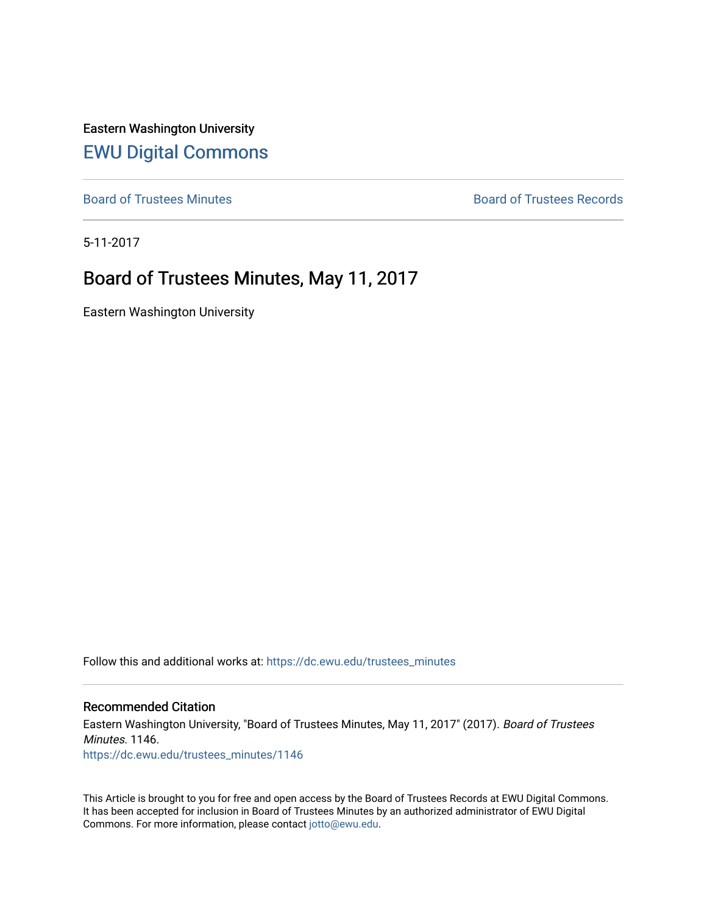Eastern Washington University [EWU Digital Commons](https://dc.ewu.edu/)

[Board of Trustees Minutes](https://dc.ewu.edu/trustees_minutes) **Board of Trustees Records Board of Trustees Records** 

5-11-2017

# Board of Trustees Minutes, May 11, 2017

Eastern Washington University

Follow this and additional works at: [https://dc.ewu.edu/trustees\\_minutes](https://dc.ewu.edu/trustees_minutes?utm_source=dc.ewu.edu%2Ftrustees_minutes%2F1146&utm_medium=PDF&utm_campaign=PDFCoverPages) 

#### Recommended Citation

Eastern Washington University, "Board of Trustees Minutes, May 11, 2017" (2017). Board of Trustees Minutes. 1146. [https://dc.ewu.edu/trustees\\_minutes/1146](https://dc.ewu.edu/trustees_minutes/1146?utm_source=dc.ewu.edu%2Ftrustees_minutes%2F1146&utm_medium=PDF&utm_campaign=PDFCoverPages) 

This Article is brought to you for free and open access by the Board of Trustees Records at EWU Digital Commons. It has been accepted for inclusion in Board of Trustees Minutes by an authorized administrator of EWU Digital Commons. For more information, please contact [jotto@ewu.edu.](mailto:jotto@ewu.edu)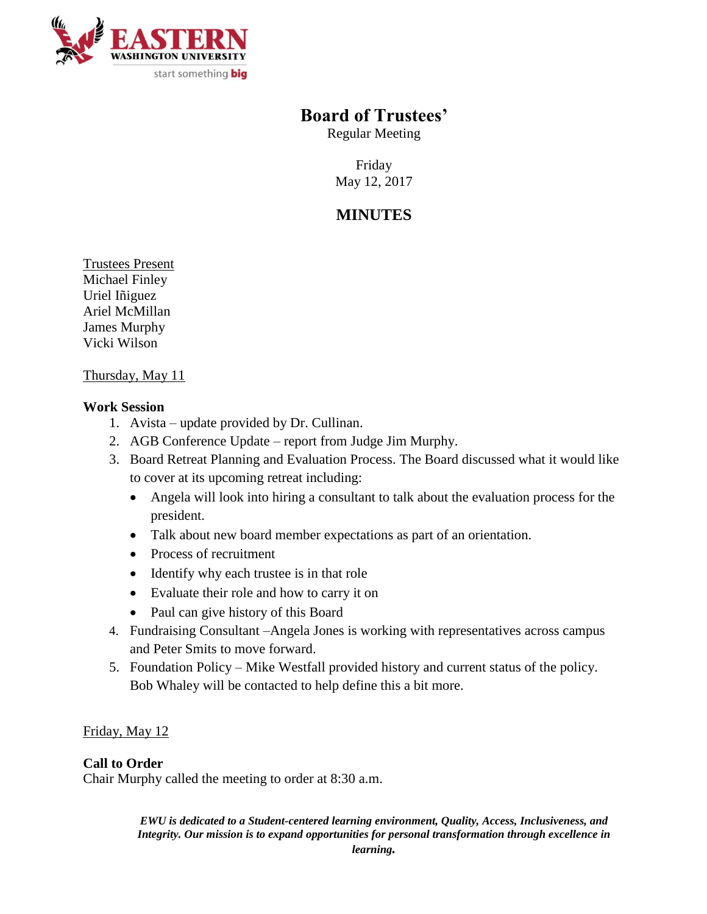

# **Board of Trustees'**

Regular Meeting

Friday May 12, 2017

# **MINUTES**

Trustees Present Michael Finley Uriel Iñiguez Ariel McMillan James Murphy Vicki Wilson

## Thursday, May 11

## **Work Session**

- 1. Avista update provided by Dr. Cullinan.
- 2. AGB Conference Update report from Judge Jim Murphy.
- 3. Board Retreat Planning and Evaluation Process. The Board discussed what it would like to cover at its upcoming retreat including:
	- Angela will look into hiring a consultant to talk about the evaluation process for the president.
	- Talk about new board member expectations as part of an orientation.
	- Process of recruitment
	- Identify why each trustee is in that role
	- Evaluate their role and how to carry it on
	- Paul can give history of this Board
- 4. Fundraising Consultant –Angela Jones is working with representatives across campus and Peter Smits to move forward.
- 5. Foundation Policy Mike Westfall provided history and current status of the policy. Bob Whaley will be contacted to help define this a bit more.

# Friday, May 12

# **Call to Order**

Chair Murphy called the meeting to order at 8:30 a.m.

*EWU is dedicated to a Student-centered learning environment, Quality, Access, Inclusiveness, and Integrity. Our mission is to expand opportunities for personal transformation through excellence in*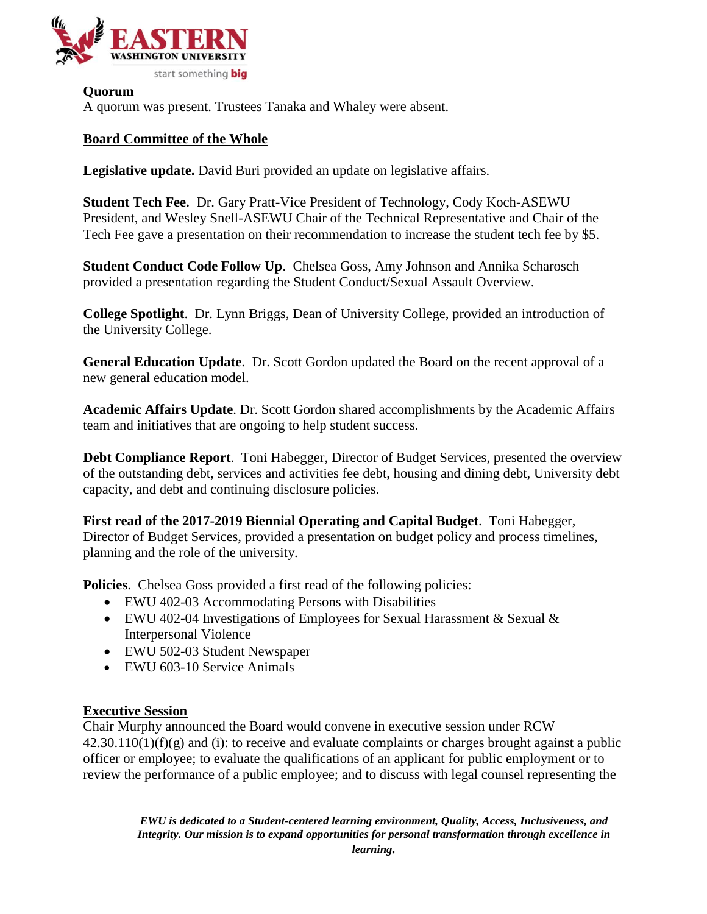

**Quorum** A quorum was present. Trustees Tanaka and Whaley were absent.

# **Board Committee of the Whole**

**Legislative update.** David Buri provided an update on legislative affairs.

**Student Tech Fee.** Dr. Gary Pratt-Vice President of Technology, Cody Koch-ASEWU President, and Wesley Snell-ASEWU Chair of the Technical Representative and Chair of the Tech Fee gave a presentation on their recommendation to increase the student tech fee by \$5.

**Student Conduct Code Follow Up**. Chelsea Goss, Amy Johnson and Annika Scharosch provided a presentation regarding the Student Conduct/Sexual Assault Overview.

**College Spotlight**. Dr. Lynn Briggs, Dean of University College, provided an introduction of the University College.

**General Education Update**. Dr. Scott Gordon updated the Board on the recent approval of a new general education model.

**Academic Affairs Update**. Dr. Scott Gordon shared accomplishments by the Academic Affairs team and initiatives that are ongoing to help student success.

**Debt Compliance Report**. Toni Habegger, Director of Budget Services, presented the overview of the outstanding debt, services and activities fee debt, housing and dining debt, University debt capacity, and debt and continuing disclosure policies.

**First read of the 2017-2019 Biennial Operating and Capital Budget**. Toni Habegger, Director of Budget Services, provided a presentation on budget policy and process timelines, planning and the role of the university.

**Policies**. Chelsea Goss provided a first read of the following policies:

- EWU 402-03 Accommodating Persons with Disabilities
- EWU 402-04 Investigations of Employees for Sexual Harassment & Sexual & Interpersonal Violence
- EWU 502-03 Student Newspaper
- EWU 603-10 Service Animals

# **Executive Session**

Chair Murphy announced the Board would convene in executive session under RCW  $42.30.110(1)(f)(g)$  and (i): to receive and evaluate complaints or charges brought against a public officer or employee; to evaluate the qualifications of an applicant for public employment or to review the performance of a public employee; and to discuss with legal counsel representing the

*EWU is dedicated to a Student-centered learning environment, Quality, Access, Inclusiveness, and Integrity. Our mission is to expand opportunities for personal transformation through excellence in learning.*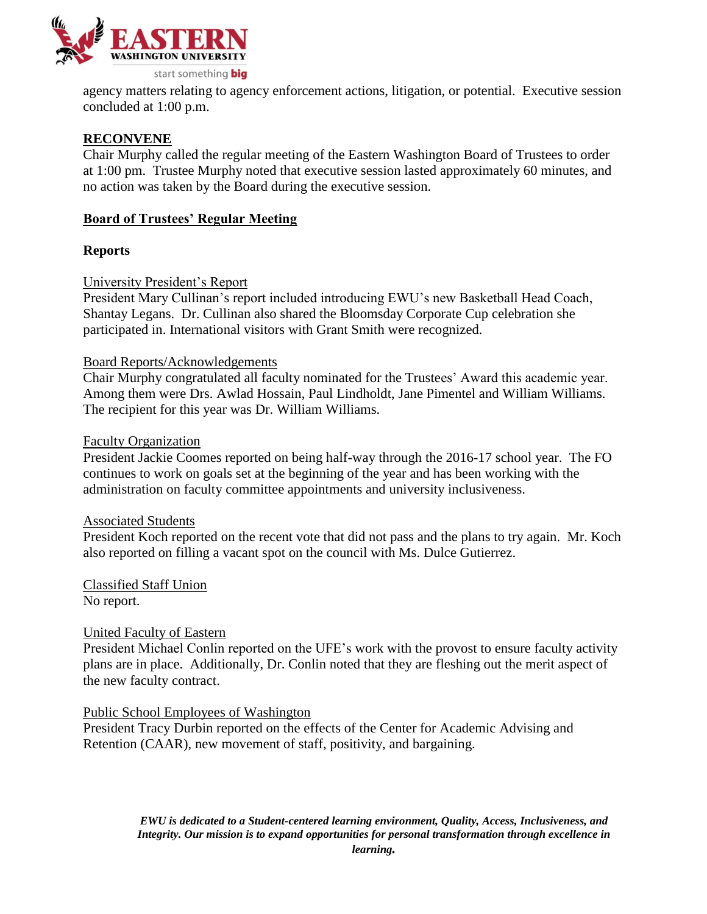

agency matters relating to agency enforcement actions, litigation, or potential. Executive session concluded at 1:00 p.m.

## **RECONVENE**

Chair Murphy called the regular meeting of the Eastern Washington Board of Trustees to order at 1:00 pm. Trustee Murphy noted that executive session lasted approximately 60 minutes, and no action was taken by the Board during the executive session.

## **Board of Trustees' Regular Meeting**

## **Reports**

## University President's Report

President Mary Cullinan's report included introducing EWU's new Basketball Head Coach, Shantay Legans. Dr. Cullinan also shared the Bloomsday Corporate Cup celebration she participated in. International visitors with Grant Smith were recognized.

### Board Reports/Acknowledgements

Chair Murphy congratulated all faculty nominated for the Trustees' Award this academic year. Among them were Drs. Awlad Hossain, Paul Lindholdt, Jane Pimentel and William Williams. The recipient for this year was Dr. William Williams.

#### Faculty Organization

President Jackie Coomes reported on being half-way through the 2016-17 school year. The FO continues to work on goals set at the beginning of the year and has been working with the administration on faculty committee appointments and university inclusiveness.

#### Associated Students

President Koch reported on the recent vote that did not pass and the plans to try again. Mr. Koch also reported on filling a vacant spot on the council with Ms. Dulce Gutierrez.

Classified Staff Union No report.

#### United Faculty of Eastern

President Michael Conlin reported on the UFE's work with the provost to ensure faculty activity plans are in place. Additionally, Dr. Conlin noted that they are fleshing out the merit aspect of the new faculty contract.

#### Public School Employees of Washington

President Tracy Durbin reported on the effects of the Center for Academic Advising and Retention (CAAR), new movement of staff, positivity, and bargaining.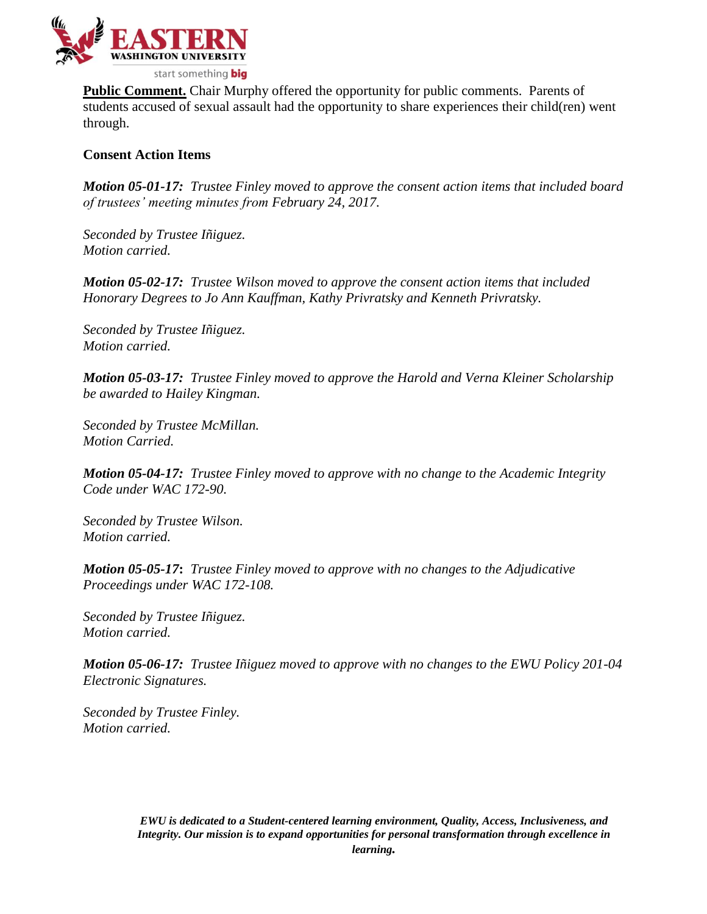

**Public Comment.** Chair Murphy offered the opportunity for public comments. Parents of students accused of sexual assault had the opportunity to share experiences their child(ren) went through.

## **Consent Action Items**

*Motion 05-01-17: Trustee Finley moved to approve the consent action items that included board of trustees' meeting minutes from February 24, 2017.*

*Seconded by Trustee Iñiguez. Motion carried.*

*Motion 05-02-17: Trustee Wilson moved to approve the consent action items that included Honorary Degrees to Jo Ann Kauffman, Kathy Privratsky and Kenneth Privratsky.*

*Seconded by Trustee Iñiguez. Motion carried.*

*Motion 05-03-17: Trustee Finley moved to approve the Harold and Verna Kleiner Scholarship be awarded to Hailey Kingman.*

*Seconded by Trustee McMillan. Motion Carried.*

*Motion 05-04-17: Trustee Finley moved to approve with no change to the Academic Integrity Code under WAC 172-90.*

*Seconded by Trustee Wilson. Motion carried.*

*Motion 05-05-17***:** *Trustee Finley moved to approve with no changes to the Adjudicative Proceedings under WAC 172-108.* 

*Seconded by Trustee Iñiguez. Motion carried.*

*Motion 05-06-17: Trustee Iñiguez moved to approve with no changes to the EWU Policy 201-04 Electronic Signatures.*

*Seconded by Trustee Finley. Motion carried.*